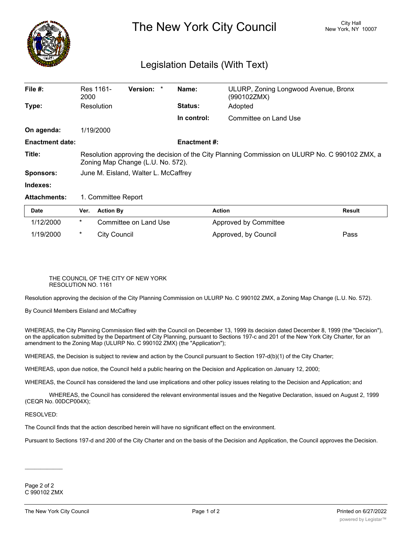

## The New York City Council New York, NY 10007

## Legislation Details (With Text)

| File #:                | Res 1161-<br>2000                                                                                                                   | Version: * |  | Name:               | ULURP, Zoning Longwood Avenue, Bronx<br>(990102ZMX) |  |  |
|------------------------|-------------------------------------------------------------------------------------------------------------------------------------|------------|--|---------------------|-----------------------------------------------------|--|--|
| Type:                  | Resolution                                                                                                                          |            |  | <b>Status:</b>      | Adopted                                             |  |  |
|                        |                                                                                                                                     |            |  | In control:         | Committee on Land Use                               |  |  |
| On agenda:             | 1/19/2000                                                                                                                           |            |  |                     |                                                     |  |  |
| <b>Enactment date:</b> |                                                                                                                                     |            |  | <b>Enactment #:</b> |                                                     |  |  |
| Title:                 | Resolution approving the decision of the City Planning Commission on ULURP No. C 990102 ZMX, a<br>Zoning Map Change (L.U. No. 572). |            |  |                     |                                                     |  |  |
| <b>Sponsors:</b>       | June M. Eisland, Walter L. McCaffrey                                                                                                |            |  |                     |                                                     |  |  |
| Indexes:               |                                                                                                                                     |            |  |                     |                                                     |  |  |
| <b>Attachments:</b>    | 1. Committee Report                                                                                                                 |            |  |                     |                                                     |  |  |

| <b>Date</b> | Ver.   | Action Bv             | <b>Action</b>         | Result |
|-------------|--------|-----------------------|-----------------------|--------|
| 1/12/2000   | $\ast$ | Committee on Land Use | Approved by Committee |        |
| 1/19/2000   |        | Citv Council          | Approved, by Council  | Pass   |

## THE COUNCIL OF THE CITY OF NEW YORK RESOLUTION NO. 1161

Resolution approving the decision of the City Planning Commission on ULURP No. C 990102 ZMX, a Zoning Map Change (L.U. No. 572).

By Council Members Eisland and McCaffrey

WHEREAS, the City Planning Commission filed with the Council on December 13, 1999 its decision dated December 8, 1999 (the "Decision"), on the application submitted by the Department of City Planning, pursuant to Sections 197-c and 201 of the New York City Charter, for an amendment to the Zoning Map (ULURP No. C 990102 ZMX) (the "Application");

WHEREAS, the Decision is subject to review and action by the Council pursuant to Section 197-d(b)(1) of the City Charter;

WHEREAS, upon due notice, the Council held a public hearing on the Decision and Application on January 12, 2000;

WHEREAS, the Council has considered the land use implications and other policy issues relating to the Decision and Application; and

WHEREAS, the Council has considered the relevant environmental issues and the Negative Declaration, issued on August 2, 1999 (CEQR No. 00DCP004X);

RESOLVED:

The Council finds that the action described herein will have no significant effect on the environment.

Pursuant to Sections 197-d and 200 of the City Charter and on the basis of the Decision and Application, the Council approves the Decision.

Page 2 of 2 C 990102 ZMX

 $\overline{\phantom{a}}$